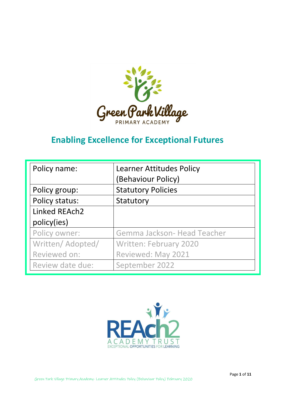

# **Enabling Excellence for Exceptional Futures**

| Policy name:      | <b>Learner Attitudes Policy</b><br>(Behaviour Policy) |  |  |
|-------------------|-------------------------------------------------------|--|--|
| Policy group:     | <b>Statutory Policies</b>                             |  |  |
| Policy status:    | Statutory                                             |  |  |
| Linked REAch2     |                                                       |  |  |
| policy(ies)       |                                                       |  |  |
| Policy owner:     | Gemma Jackson- Head Teacher                           |  |  |
| Written/ Adopted/ | Written: February 2020                                |  |  |
| Reviewed on:      | Reviewed: May 2021                                    |  |  |
| Review date due:  | September 2022                                        |  |  |

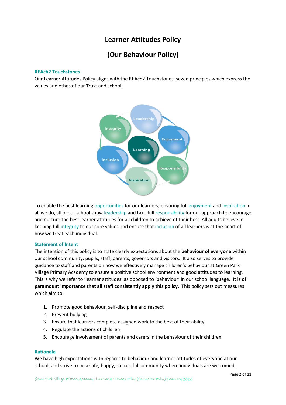# **Learner Attitudes Policy**

# **(Our Behaviour Policy)**

#### **REAch2 Touchstones**

Our Learner Attitudes Policy aligns with the REAch2 Touchstones, seven principles which express the values and ethos of our Trust and school:



To enable the best learning opportunities for our learners, ensuring full enjoyment and inspiration in all we do, all in our school show leadership and take full responsibility for our approach to encourage and nurture the best learner attitudes for all children to achieve of their best. All adults believe in keeping full integrity to our core values and ensure that inclusion of all learners is at the heart of how we treat each individual.

#### **Statement of Intent**

The intention of this policy is to state clearly expectations about the **behaviour of everyone** within our school community: pupils, staff, parents, governors and visitors. It also serves to provide guidance to staff and parents on how we effectively manage children's behaviour at Green Park Village Primary Academy to ensure a positive school environment and good attitudes to learning. This is why we refer to 'learner attitudes' as opposed to 'behaviour' in our school language. **It is of paramount importance that all staff consistently apply this policy**. This policy sets out measures which aim to:

- 1. Promote good behaviour, self-discipline and respect
- 2. Prevent bullying
- 3. Ensure that learners complete assigned work to the best of their ability
- 4. Regulate the actions of children
- 5. Encourage involvement of parents and carers in the behaviour of their children

#### **Rationale**

We have high expectations with regards to behaviour and learner attitudes of everyone at our school, and strive to be a safe, happy, successful community where individuals are welcomed,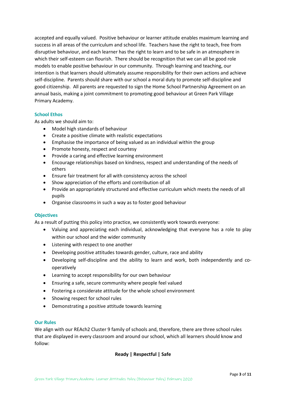accepted and equally valued. Positive behaviour or learner attitude enables maximum learning and success in all areas of the curriculum and school life. Teachers have the right to teach, free from disruptive behaviour, and each learner has the right to learn and to be safe in an atmosphere in which their self-esteem can flourish. There should be recognition that we can all be good role models to enable positive behaviour in our community. Through learning and teaching, our intention is that learners should ultimately assume responsibility for their own actions and achieve self-discipline. Parents should share with our school a moral duty to promote self-discipline and good citizenship. All parents are requested to sign the Home School Partnership Agreement on an annual basis, making a joint commitment to promoting good behaviour at Green Park Village Primary Academy.

#### **School Ethos**

As adults we should aim to:

- Model high standards of behaviour
- Create a positive climate with realistic expectations
- Emphasise the importance of being valued as an individual within the group
- Promote honesty, respect and courtesy
- Provide a caring and effective learning environment
- Encourage relationships based on kindness, respect and understanding of the needs of others
- Ensure fair treatment for all with consistency across the school
- Show appreciation of the efforts and contribution of all
- Provide an appropriately structured and effective curriculum which meets the needs of all pupils
- Organise classrooms in such a way as to foster good behaviour

#### **Objectives**

As a result of putting this policy into practice, we consistently work towards everyone:

- Valuing and appreciating each individual, acknowledging that everyone has a role to play within our school and the wider community
- Listening with respect to one another
- Developing positive attitudes towards gender, culture, race and ability
- Developing self-discipline and the ability to learn and work, both independently and cooperatively
- Learning to accept responsibility for our own behaviour
- Ensuring a safe, secure community where people feel valued
- Fostering a considerate attitude for the whole school environment
- Showing respect for school rules
- Demonstrating a positive attitude towards learning

#### **Our Rules**

We align with our REAch2 Cluster 9 family of schools and, therefore, there are three school rules that are displayed in every classroom and around our school, which all learners should know and follow:

# **Ready | Respectful | Safe**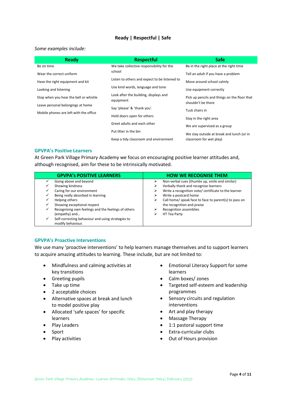#### **Ready | Respectful | Safe**

#### *Some examples include:*

| <b>Ready</b>                           | <b>Respectful</b>                                  | <b>Safe</b>                                                        |  |
|----------------------------------------|----------------------------------------------------|--------------------------------------------------------------------|--|
| Be on time                             | We take collective responsibility for the          | Be in the right place at the right time                            |  |
| Wear the correct uniform               | school                                             | Tell an adult if you have a problem                                |  |
| Have the right equipment and kit       | Listen to others and expect to be listened to      | Move around school calmly                                          |  |
| Looking and listening                  | Use kind words, language and tone                  | Use equipment correctly                                            |  |
| Stop when you hear the bell or whistle | Look after the building, displays and<br>equipment | Pick up pencils and things on the floor that<br>shouldn't be there |  |
| Leave personal belongings at home      | Say 'please' & 'thank you'.                        |                                                                    |  |
| Mobile phones are left with the office |                                                    | Tuck chairs in                                                     |  |
|                                        | Hold doors open for others                         | Stay in the right area                                             |  |
|                                        | Greet adults and each other                        | We are supervised as a group                                       |  |
|                                        | Put litter in the bin                              | We stay outside at break and lunch (or in                          |  |
|                                        | Keep a tidy classroom and environment              | classroom for wet play)                                            |  |

#### **GPVPA's Positive Learners**

At Green Park Village Primary Academy we focus on encouraging positive learner attitudes and, although recognised, aim for these to be intrinsically motivated.

|   | <b>GPVPA's POSITIVE LEARNERS</b>                    |   | <b>HOW WE RECOGNISE THEM</b>                          |
|---|-----------------------------------------------------|---|-------------------------------------------------------|
|   | Going above and beyond                              | ⋗ | Non-verbal cues (thumbs up, smile and similar)        |
|   | Showing kindness                                    | ⋗ | Verbally thank and recognise learners                 |
|   | Caring for our environment                          | ⋗ | Write a recognition note/ certificate to the learner  |
|   | Being really absorbed in learning                   | ⋗ | Write a postcard home                                 |
|   | Helping others                                      | ⋗ | Call home/ speak face to face to parent(s) to pass on |
|   | Showing exceptional respect                         |   | the recognition and praise                            |
|   | Recognising own feelings and the feelings of others |   | <b>Recognition assemblies</b>                         |
|   | (empathy) and                                       | ⋗ | HT Tea Party                                          |
| ✓ | Self-correcting behaviour and using strategies to   |   |                                                       |
|   | modify behaviour.                                   |   |                                                       |

#### **GPVPA's Proactive Interventions**

We use many 'proactive interventions' to help learners manage themselves and to support learners to acquire amazing attitudes to learning. These include, but are not limited to:

- Mindfulness and calming activities at key transitions
- Greeting pupils
- Take up time
- 2 acceptable choices
- Alternative spaces at break and lunch to model positive play
- Allocated 'safe spaces' for specific learners
- Play Leaders
- Sport
- Play activities
- Emotional Literacy Support for some learners
- Calm boxes/ zones
- Targeted self-esteem and leadership programmes
- Sensory circuits and regulation interventions
- Art and play therapy
- Massage Therapy
- 1:1 pastoral support time
- Extra-curricular clubs
- Out of Hours provision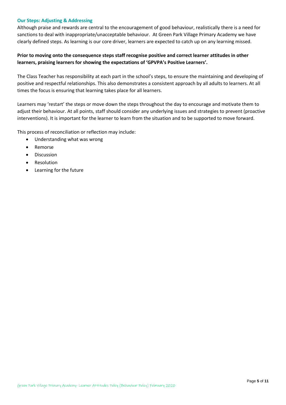# **Our Steps: Adjusting & Addressing**

Although praise and rewards are central to the encouragement of good behaviour, realistically there is a need for sanctions to deal with inappropriate/unacceptable behaviour. At Green Park Village Primary Academy we have clearly defined steps. As learning is our core driver, learners are expected to catch up on any learning missed.

# **Prior to moving onto the consequence steps staff recognise positive and correct learner attitudes in other learners, praising learners for showing the expectations of 'GPVPA's Positive Learners'.**

The Class Teacher has responsibility at each part in the school's steps, to ensure the maintaining and developing of positive and respectful relationships. This also demonstrates a consistent approach by all adults to learners. At all times the focus is ensuring that learning takes place for all learners.

Learners may 'restart' the steps or move down the steps throughout the day to encourage and motivate them to adjust their behaviour. At all points, staff should consider any underlying issues and strategies to prevent (proactive interventions). It is important for the learner to learn from the situation and to be supported to move forward.

This process of reconciliation or reflection may include:

- Understanding what was wrong
- Remorse
- Discussion
- Resolution
- Learning for the future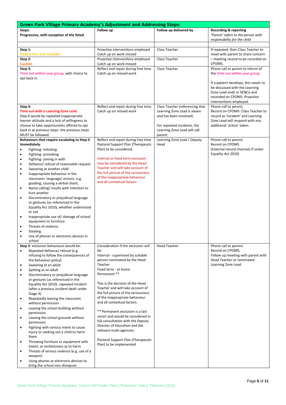| <b>Green Park Village Primary Academy's Adjustment and Addressing Steps:</b> |                                                                                         |                                     |                                 |                                                                      |  |  |  |
|------------------------------------------------------------------------------|-----------------------------------------------------------------------------------------|-------------------------------------|---------------------------------|----------------------------------------------------------------------|--|--|--|
| Steps:                                                                       |                                                                                         | Follow up                           | Follow up delivered by          | <b>Recording &amp; reporting</b>                                     |  |  |  |
|                                                                              | Progressive, with exception of the listed                                               |                                     |                                 | 'Parent' refers to the person with                                   |  |  |  |
|                                                                              |                                                                                         |                                     |                                 | responsibility for the child                                         |  |  |  |
|                                                                              |                                                                                         |                                     |                                 |                                                                      |  |  |  |
| Step 1:                                                                      |                                                                                         | Proactive interventions employed    | Class Teacher                   | If repeated, then Class Teacher to                                   |  |  |  |
|                                                                              | <b>Redirection and reminder</b>                                                         | Catch up on work missed             |                                 | meet with parent to share concern                                    |  |  |  |
| Step 2:                                                                      |                                                                                         | Proactive interventions employed    | Class Teacher                   | - meeting record to be recorded on                                   |  |  |  |
| <b>Caution</b>                                                               |                                                                                         | Catch up on work missed             |                                 | CPOMS.                                                               |  |  |  |
| Step 3:                                                                      |                                                                                         | Reflect and repair during free time | Class Teacher                   | Phone call to parent to inform of                                    |  |  |  |
|                                                                              | Time out within year group, with choice to                                              | Catch up on missed work             |                                 | the time out within year group                                       |  |  |  |
|                                                                              | opt back in.                                                                            |                                     |                                 |                                                                      |  |  |  |
|                                                                              |                                                                                         |                                     |                                 | If a pattern develops, this needs to                                 |  |  |  |
|                                                                              |                                                                                         |                                     |                                 | be discussed with the Learning                                       |  |  |  |
|                                                                              |                                                                                         |                                     |                                 | Zone Lead and/ or SENCo and                                          |  |  |  |
|                                                                              |                                                                                         |                                     |                                 | recorded on CPOMS. Proactive                                         |  |  |  |
|                                                                              |                                                                                         |                                     |                                 | interventions employed.                                              |  |  |  |
| Step 4:                                                                      |                                                                                         | Reflect and repair during free time | Class Teacher (referencing that | Phone call to parent;                                                |  |  |  |
|                                                                              | Time out with a Learning Zone Lead                                                      | Catch up on missed work             | Learning Zone Lead is aware     | Record on CPOMS- Class Teacher to                                    |  |  |  |
|                                                                              | Step 4 would be repeated inappropriate<br>learner attitude and a lack of willingness to |                                     | and has been involved).         | record as 'incident' and Learning<br>Zone Lead will respond with any |  |  |  |
|                                                                              | choose to take opportunities offered to opt                                             |                                     | For repeated incidents, the     | additional 'action' taken.                                           |  |  |  |
|                                                                              | back in at previous steps- the previous steps                                           |                                     | Learning Zone Lead will call    |                                                                      |  |  |  |
|                                                                              | MUST be followed.                                                                       |                                     | parent.                         |                                                                      |  |  |  |
|                                                                              | Behaviours that require escalating to Step 4                                            | Reflect and repair during free time | Learning Zone Lead / Deputy     | Phone call to parent;                                                |  |  |  |
|                                                                              | immediately:                                                                            | Pastoral Support Plan (Therapeutic  | Head                            | Record on CPOMS                                                      |  |  |  |
| ٠                                                                            | Fighting-initiating                                                                     | Plan) to be considered.             |                                 | (External record channels if under                                   |  |  |  |
| $\bullet$                                                                    | Fighting-provoking                                                                      |                                     |                                 | Equality Act 2010)                                                   |  |  |  |
| $\bullet$                                                                    | Fighting-joining in with                                                                | Internal or fixed term exclusion    |                                 |                                                                      |  |  |  |
| $\bullet$                                                                    | Defiance/ refusal of reasonable request                                                 | may be considered by the Head       |                                 |                                                                      |  |  |  |
| $\bullet$                                                                    | Swearing at another child                                                               | Teacher and will take account of    |                                 |                                                                      |  |  |  |
| $\bullet$                                                                    | Inappropriate behaviour in the                                                          | the full picture of the seriousness |                                 |                                                                      |  |  |  |
|                                                                              | classroom-language/actions-e.g.                                                         | of the inappropriate behaviour      |                                 |                                                                      |  |  |  |
|                                                                              | goading; causing a verbal chant;                                                        | and all contextual factors.         |                                 |                                                                      |  |  |  |
| $\bullet$                                                                    | Name calling/ insults with intention to                                                 |                                     |                                 |                                                                      |  |  |  |
|                                                                              | hurt another                                                                            |                                     |                                 |                                                                      |  |  |  |
| $\bullet$                                                                    | Discriminatory or prejudicial language                                                  |                                     |                                 |                                                                      |  |  |  |
|                                                                              | or gestures (as referenced in the                                                       |                                     |                                 |                                                                      |  |  |  |
|                                                                              | Equality Act 2010), whether understood<br>or not                                        |                                     |                                 |                                                                      |  |  |  |
| $\bullet$                                                                    | Inappropriate use of/damage of school                                                   |                                     |                                 |                                                                      |  |  |  |
|                                                                              | equipment or furniture                                                                  |                                     |                                 |                                                                      |  |  |  |
| $\bullet$                                                                    | Threats of violence                                                                     |                                     |                                 |                                                                      |  |  |  |
|                                                                              | <b>Stealing</b>                                                                         |                                     |                                 |                                                                      |  |  |  |
|                                                                              | Use of phones or electronic devices in                                                  |                                     |                                 |                                                                      |  |  |  |
|                                                                              | school                                                                                  |                                     |                                 |                                                                      |  |  |  |
|                                                                              | Step 5: exclusion behaviours would be:                                                  | Consideration if the exclusion will | <b>Head Teacher</b>             | Phone call to parent;                                                |  |  |  |
|                                                                              | Repeated defiance/refusal (e.g.                                                         | be:                                 |                                 | Record on CPOMS;                                                     |  |  |  |
|                                                                              | refusing to follow the consequences of                                                  | Internal - supervised by suitable   |                                 | Follow up meeting with parent with                                   |  |  |  |
|                                                                              | the behaviour policy)                                                                   | person nominated by the Head        |                                 | <b>Head Teacher or nominated</b>                                     |  |  |  |
| $\bullet$                                                                    | Swearing at an adult                                                                    | Teacher                             |                                 | Learning Zone Lead.                                                  |  |  |  |
|                                                                              | Spitting at an adult                                                                    | Fixed term - at home                |                                 |                                                                      |  |  |  |
| $\bullet$                                                                    | Discriminatory or prejudicial language                                                  | Permanent**                         |                                 |                                                                      |  |  |  |
|                                                                              | or gestures (as referenced in the                                                       | This is the decision of the Head    |                                 |                                                                      |  |  |  |
|                                                                              | Equality Act 2010)- repeated incident                                                   | Teacher and will take account of    |                                 |                                                                      |  |  |  |
|                                                                              | (after a previous incident dealt under<br>Stage 4)                                      | the full picture of the seriousness |                                 |                                                                      |  |  |  |
| $\bullet$                                                                    | Repeatedly leaving the classroom                                                        | of the inappropriate behaviour      |                                 |                                                                      |  |  |  |
|                                                                              | without permission                                                                      | and all contextual factors.         |                                 |                                                                      |  |  |  |
| $\bullet$                                                                    | Leaving the school building without                                                     |                                     |                                 |                                                                      |  |  |  |
|                                                                              | permission                                                                              | ** Permanent exclusion is a last    |                                 |                                                                      |  |  |  |
|                                                                              | Leaving the school grounds without                                                      | resort and would be considered in   |                                 |                                                                      |  |  |  |
|                                                                              | permission                                                                              | full consultation with the Deputy   |                                 |                                                                      |  |  |  |
| $\bullet$                                                                    | Fighting with serious intent to cause                                                   | Director of Education and the       |                                 |                                                                      |  |  |  |
|                                                                              | injury or seeking out a child to harm                                                   | relevant multi-agencies.            |                                 |                                                                      |  |  |  |
|                                                                              | them                                                                                    |                                     |                                 |                                                                      |  |  |  |
| $\bullet$                                                                    | Throwing furniture or equipment with                                                    | Pastoral Support Plan (Therapeutic  |                                 |                                                                      |  |  |  |
|                                                                              | intent, or recklessness as to harm                                                      | Plan) to be implemented             |                                 |                                                                      |  |  |  |
| ٠                                                                            | Threats of serious violence (e.g. use of a                                              |                                     |                                 |                                                                      |  |  |  |
|                                                                              | weapon)                                                                                 |                                     |                                 |                                                                      |  |  |  |
|                                                                              | Using phones or electronic devices to                                                   |                                     |                                 |                                                                      |  |  |  |
|                                                                              | bring the school into disrepute                                                         |                                     |                                 |                                                                      |  |  |  |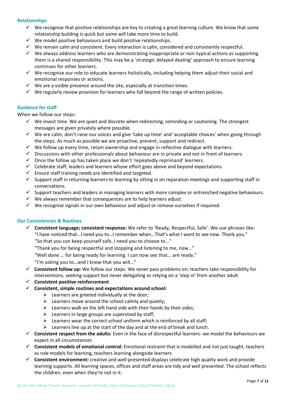#### **Relationships**

- $\checkmark$  We recognise that positive relationships are key to creating a great learning culture. We know that some relationship building is quick but some will take more time to build.
- $\checkmark$  We model positive behaviours and build positive relationships.
- $\checkmark$  We remain calm and consistent. Every interaction is calm, considered and consistently respectful.
- ✓ We always address learners who are demonstrating inappropriate or non-typical actions as supporting them is a shared responsibility. This may be a 'strategic delayed dealing' approach to ensure learning continues for other learners.
- ✓ We recognise our role to educate learners holistically, including helping them adjust their social and emotional responses or actions.
- $\checkmark$  We are a visible presence around the site, especially at transition times.
- $\checkmark$  We regularly review provision for learners who fall beyond the range of written policies.

#### **Guidance for staff**

When we follow our steps:

- $\checkmark$  We invest time. We are quiet and discrete when redirecting, reminding or cautioning. The strongest messages are given privately where possible.
- ✓ We are calm, don't raise our voices and give 'take up time' and 'acceptable choices' when going through the steps. As much as possible we are proactive, prevent, support and redirect.
- $\checkmark$  We follow up every time, retain ownership and engage in reflective dialogue with learners.
- ✓ Discussions with other professionals about behaviour are in private and not in front of learners.
- $\checkmark$  Once the follow up has taken place we don't 'repeatedly reprimand' learners.
- $\checkmark$  Celebrate staff, leaders and learners whose effort goes above and beyond expectations
- $\checkmark$  Ensure staff training needs are identified and targeted.
- $\checkmark$  Support staff in returning learners to learning by sitting in on reparation meetings and supporting staff in conversations.
- $\checkmark$  Support teachers and leaders in managing learners with more complex or entrenched negative behaviours.
- $\checkmark$  We always remember that consequences are to help learners adjust.
- $\checkmark$  We recognise signals in our own behaviour and adjust or remove ourselves if required.

#### **Our Consistencies & Routines**

✓ **Consistent language; consistent response:** We refer to 'Ready, Respectful, Safe'. We use phrases like: "I have noticed that…I need you to…I remember when…That's what I want to see now. Thank you."

"So that you can keep yourself safe, I need you to choose to…"

- "Thank you for being respectful and stopping and listening to me, now…"
- "Well done … for being ready for learning. I can now see that… are ready."

"I'm asking you to…and I know that you will…"

- ✓ **Consistent follow up:** We follow our steps. We never pass problems on; teachers take responsibility for interventions, seeking support but never delegating or relying on a 'step in' from another adult
- ✓ **Consistent positive reinforcement**
- ✓ **Consistent, simple routines and expectations around school:** 
	- $\triangleright$  Learners are greeted individually at the door;
	- $\triangleright$  Learners move around the school calmly and quietly;
	- $\triangleright$  Learners walk on the left hand side with their hands by their sides;
	- $\triangleright$  Learners in large groups are supervised by staff:
	- $\triangleright$  Learners wear the correct school uniform which is reinforced by all staff;
	- $\triangleright$  Learners line up at the start of the day and at the end of break and lunch.
- ✓ **Consistent respect from the adults:** Even in the face of disrespectful learners- we model the behaviours we expect in all circumstances
- ✓ **Consistent models of emotional control:** Emotional restraint that is modelled and not just taught, teachers as role models for learning, teachers learning alongside learners
- ✓ **Consistent environment:** creative and well-presented displays celebrate high quality work and provide learning supports. All learning spaces, offices and staff areas are tidy and well presented. The school reflects the children, even when they're not in it.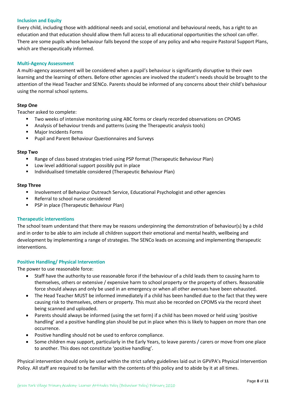#### **Inclusion and Equity**

Every child, including those with additional needs and social, emotional and behavioural needs, has a right to an education and that education should allow them full access to all educational opportunities the school can offer. There are some pupils whose behaviour falls beyond the scope of any policy and who require Pastoral Support Plans, which are therapeutically informed.

#### **Multi-Agency Assessment**

A multi-agency assessment will be considered when a pupil's behaviour is significantly disruptive to their own learning and the learning of others. Before other agencies are involved the student's needs should be brought to the attention of the Head Teacher and SENCo. Parents should be informed of any concerns about their child's behaviour using the normal school systems.

# **Step One**

Teacher asked to complete:

- Two weeks of intensive monitoring using ABC forms or clearly recorded observations on CPOMS
- Analysis of behaviour trends and patterns (using the Therapeutic analysis tools)
- Major Incidents Forms
- Pupil and Parent Behaviour Questionnaires and Surveys

#### **Step Two**

- Range of class based strategies tried using PSP format (Therapeutic Behaviour Plan)
- Low level additional support possibly put in place
- Individualised timetable considered (Therapeutic Behaviour Plan)

#### **Step Three**

- **■** Involvement of Behaviour Outreach Service, Educational Psychologist and other agencies
- Referral to school nurse considered
- PSP in place (Therapeutic Behaviour Plan)

#### **Therapeutic interventions**

The school team understand that there may be reasons underpinning the demonstration of behaviour(s) by a child and in order to be able to aim include all children support their emotional and mental health, wellbeing and development by implementing a range of strategies. The SENCo leads on accessing and implementing therapeutic interventions.

#### **Positive Handling/ Physical Intervention**

The power to use reasonable force:

- Staff have the authority to use reasonable force if the behaviour of a child leads them to causing harm to themselves, others or extensive / expensive harm to school property or the property of others. Reasonable force should always and only be used in an emergency or when all other avenues have been exhausted.
- The Head Teacher MUST be informed immediately if a child has been handled due to the fact that they were causing risk to themselves, others or property. This must also be recorded on CPOMS via the record sheet being scanned and uploaded.
- Parents should always be informed (using the set form) if a child has been moved or held using 'positive handling' and a positive handling plan should be put in place when this is likely to happen on more than one occurrence.
- Positive handling should not be used to enforce compliance.
- Some children may support, particularly in the Early Years, to leave parents / carers or move from one place to another. This does not constitute 'positive handling'.

Physical intervention should only be used within the strict safety guidelines laid out in GPVPA's Physical Intervention Policy. All staff are required to be familiar with the contents of this policy and to abide by it at all times.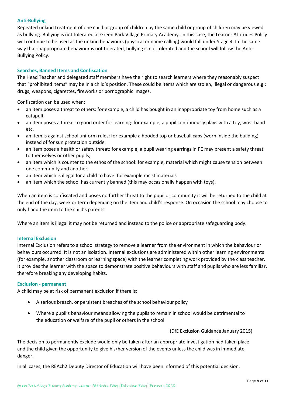#### **Anti-Bullying**

Repeated unkind treatment of one child or group of children by the same child or group of children may be viewed as bullying. Bullying is not tolerated at Green Park Village Primary Academy. In this case, the Learner Attitudes Policy will continue to be used as the unkind behaviours (physical or name calling) would fall under Stage 4. In the same way that inappropriate behaviour is not tolerated, bullying is not tolerated and the school will follow the Anti-Bullying Policy.

# **Searches, Banned Items and Confiscation**

The Head Teacher and delegated staff members have the right to search learners where they reasonably suspect that "prohibited items" may be in a child's position. These could be items which are stolen, illegal or dangerous e.g.: drugs, weapons, cigarettes, fireworks or pornographic images.

Confiscation can be used when:

- an item poses a threat to others: for example, a child has bought in an inappropriate toy from home such as a catapult
- an item poses a threat to good order for learning: for example, a pupil continuously plays with a toy, wrist band etc.
- an item is against school uniform rules: for example a hooded top or baseball caps (worn inside the building) instead of for sun protection outside
- an item poses a health or safety threat: for example, a pupil wearing earrings in PE may present a safety threat to themselves or other pupils;
- an item which is counter to the ethos of the school: for example, material which might cause tension between one community and another;
- an item which is illegal for a child to have: for example racist materials
- an item which the school has currently banned (this may occasionally happen with toys).

When an item is confiscated and poses no further threat to the pupil or community it will be returned to the child at the end of the day, week or term depending on the item and child's response. On occasion the school may choose to only hand the item to the child's parents.

Where an item is illegal it may not be returned and instead to the police or appropriate safeguarding body.

#### **Internal Exclusion**

Internal Exclusion refers to a school strategy to remove a learner from the environment in which the behaviour or behaviours occurred. It is not an isolation. Internal exclusions are administered within other learning environments (for example, another classroom or learning space) with the learner completing work provided by the class teacher. It provides the learner with the space to demonstrate positive behaviours with staff and pupils who are less familiar, therefore breaking any developing habits.

#### **Exclusion - permanent**

A child may be at risk of permanent exclusion if there is:

- A serious breach, or persistent breaches of the school behaviour policy
- Where a pupil's behaviour means allowing the pupils to remain in school would be detrimental to the education or welfare of the pupil or others in the school

(DfE Exclusion Guidance January 2015)

The decision to permanently exclude would only be taken after an appropriate investigation had taken place and the child given the opportunity to give his/her version of the events unless the child was in immediate danger.

In all cases, the REAch2 Deputy Director of Education will have been informed of this potential decision.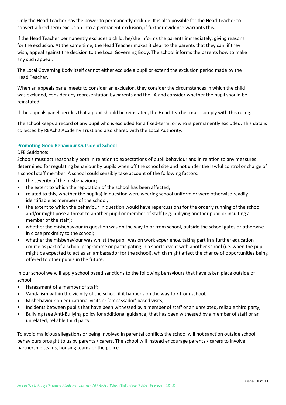Only the Head Teacher has the power to permanently exclude. It is also possible for the Head Teacher to convert a fixed-term exclusion into a permanent exclusion, if further evidence warrants this.

If the Head Teacher permanently excludes a child, he/she informs the parents immediately, giving reasons for the exclusion. At the same time, the Head Teacher makes it clear to the parents that they can, if they wish, appeal against the decision to the Local Governing Body. The school informs the parents how to make any such appeal.

The Local Governing Body itself cannot either exclude a pupil or extend the exclusion period made by the Head Teacher.

When an appeals panel meets to consider an exclusion, they consider the circumstances in which the child was excluded, consider any representation by parents and the LA and consider whether the pupil should be reinstated.

If the appeals panel decides that a pupil should be reinstated, the Head Teacher must comply with this ruling.

The school keeps a record of any pupil who is excluded for a fixed-term, or who is permanently excluded. This data is collected by REAch2 Academy Trust and also shared with the Local Authority.

# **Promoting Good Behaviour Outside of School**

#### DFE Guidance:

Schools must act reasonably both in relation to expectations of pupil behaviour and in relation to any measures determined for regulating behaviour by pupils when off the school site and not under the lawful control or charge of a school staff member. A school could sensibly take account of the following factors:

- the severity of the misbehaviour:
- the extent to which the reputation of the school has been affected;
- related to this, whether the pupil(s) in question were wearing school uniform or were otherwise readily identifiable as members of the school;
- the extent to which the behaviour in question would have repercussions for the orderly running of the school and/or might pose a threat to another pupil or member of staff (e.g. bullying another pupil or insulting a member of the staff);
- whether the misbehaviour in question was on the way to or from school, outside the school gates or otherwise in close proximity to the school;
- whether the misbehaviour was whilst the pupil was on work experience, taking part in a further education course as part of a school programme or participating in a sports event with another school (i.e. when the pupil might be expected to act as an ambassador for the school), which might affect the chance of opportunities being offered to other pupils in the future.

In our school we will apply school based sanctions to the following behaviours that have taken place outside of school:

- Harassment of a member of staff;
- Vandalism within the vicinity of the school if it happens on the way to / from school;
- Misbehaviour on educational visits or 'ambassador' based visits;
- Incidents between pupils that have been witnessed by a member of staff or an unrelated, reliable third party;
- Bullying (see Anti-Bullying policy for additional guidance) that has been witnessed by a member of staff or an unrelated, reliable third party.

To avoid malicious allegations or being involved in parental conflicts the school will not sanction outside school behaviours brought to us by parents / carers. The school will instead encourage parents / carers to involve partnership teams, housing teams or the police.